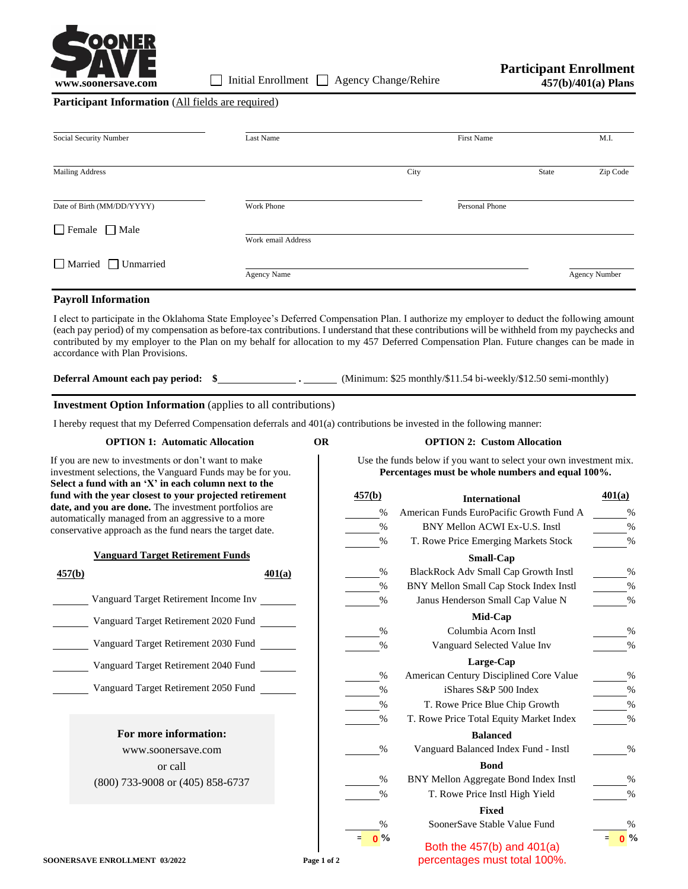

## **Participant Information** (All fields are required)

| Social Security Number          | Last Name          |      | First Name     |       | M.I.                 |
|---------------------------------|--------------------|------|----------------|-------|----------------------|
| <b>Mailing Address</b>          |                    | City |                | State | Zip Code             |
| Date of Birth (MM/DD/YYYY)      | Work Phone         |      | Personal Phone |       |                      |
| $\Box$ Female $\Box$ Male       | Work email Address |      |                |       |                      |
| $\Box$ Married $\Box$ Unmarried | <b>Agency Name</b> |      |                |       | <b>Agency Number</b> |

### **Payroll Information**

I elect to participate in the Oklahoma State Employee's Deferred Compensation Plan. I authorize my employer to deduct the following amount (each pay period) of my compensation as before-tax contributions. I understand that these contributions will be withheld from my paychecks and contributed by my employer to the Plan on my behalf for allocation to my 457 Deferred Compensation Plan. Future changes can be made in accordance with Plan Provisions.

**Deferral Amount each pay period:** \$<br> **.** (Minimum: \$25 monthly/\$11.54 bi-weekly/\$12.50 semi-monthly)

## **Investment Option Information** (applies to all contributions)

I hereby request that my Deferred Compensation deferrals and 401(a) contributions be invested in the following manner:

**OPTION 1: Automatic Allocation OR OPTION 2: Custom Allocation**

# Use the funds below if you want to select your own investment mix.

**Percentages must be whole numbers and equal 100%.**

If you are new to investments or don't want to make investment selections, the Vanguard Funds may be for you. **Select a fund with an 'X' in each column next to the fund with the year closest to your projected retirement date, and you are done.** The investment portfolios are automatically managed from an aggressive to a more conservative approach as the fund nears the target date.

|  | <b>Vanguard Target Retirement Funds</b> |  |
|--|-----------------------------------------|--|
|  |                                         |  |

| 457(b) |                                       | 401(a) |
|--------|---------------------------------------|--------|
|        | Vanguard Target Retirement Income Inv |        |
|        | Vanguard Target Retirement 2020 Fund  |        |
|        | Vanguard Target Retirement 2030 Fund  |        |
|        | Vanguard Target Retirement 2040 Fund  |        |
|        | Vanguard Target Retirement 2050 Fund  |        |
|        |                                       |        |

**For more information:** www.soonersave.com or call (800) 733-9008 or (405) 858-6737

| 457(b)        | <b>International</b>                        | 401(a)              |
|---------------|---------------------------------------------|---------------------|
| $\%$          | American Funds EuroPacific Growth Fund A    | $\%$                |
| %             | BNY Mellon ACWI Ex-U.S. Instl               | %                   |
| %             | T. Rowe Price Emerging Markets Stock        | %                   |
|               | <b>Small-Cap</b>                            |                     |
| $\%$          | <b>BlackRock Adv Small Cap Growth Instl</b> | $\%$                |
| %             | BNY Mellon Small Cap Stock Index Instl      | %                   |
| $\%$          | Janus Henderson Small Cap Value N           | %                   |
|               | Mid-Cap                                     |                     |
| $\frac{0}{0}$ | Columbia Acorn Instl                        | $\frac{0}{0}$       |
| $\%$          | Vanguard Selected Value Inv                 | %                   |
|               | Large-Cap                                   |                     |
| $\%$          | American Century Disciplined Core Value     | %                   |
| %             | iShares S&P 500 Index                       | %                   |
| $\%$          | T. Rowe Price Blue Chip Growth              | %                   |
| %             | T. Rowe Price Total Equity Market Index     | $\frac{0}{0}$       |
|               | <b>Balanced</b>                             |                     |
| $\frac{0}{0}$ | Vanguard Balanced Index Fund - Instl        | $\frac{0}{0}$       |
|               | <b>Bond</b>                                 |                     |
| $\frac{0}{0}$ | BNY Mellon Aggregate Bond Index Instl       | $\frac{0}{0}$       |
| $\%$          | T. Rowe Price Instl High Yield              | %                   |
|               | <b>Fixed</b>                                |                     |
| $\frac{0}{0}$ | SoonerSave Stable Value Fund                | $\frac{0}{0}$       |
| 0 %           |                                             | 0 <sup>9</sup><br>Ξ |

**e 0**% **both the 457(b) and 401(a) E 0**% percentages must total 100%. **<sup>0</sup>**